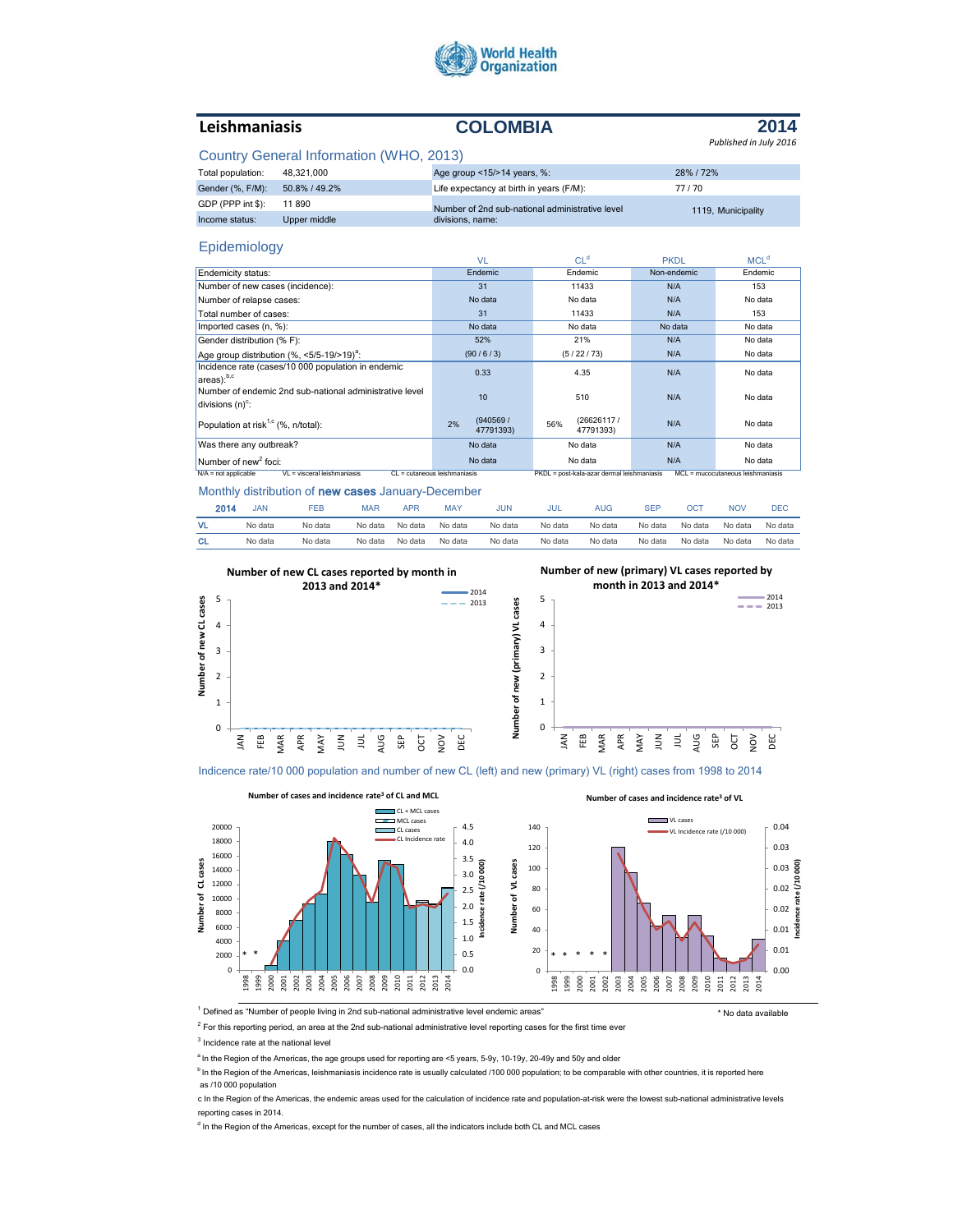

# **Leishmaniasis COLOMBIA**

### **2014** *Published in July 2016*

## Country General Information (WHO, 2013)

| Total population: | 48.321.000    | Age group <15/>>14 years, %:                    | 28% / 72%          |
|-------------------|---------------|-------------------------------------------------|--------------------|
| Gender (%, F/M):  | 50.8% / 49.2% | Life expectancy at birth in years (F/M):        | 77/70              |
| GDP (PPP int \$): | 11890         | Number of 2nd sub-national administrative level | 1119. Municipality |
| Income status:    | Upper middle  | divisions, name:                                |                    |

### Epidemiology

|                                                                                      | <b>VL</b>                    | CL <sup>d</sup>                            | <b>PKDL</b> | MCL <sup>d</sup>                  |  |
|--------------------------------------------------------------------------------------|------------------------------|--------------------------------------------|-------------|-----------------------------------|--|
| Endemicity status:                                                                   | Endemic                      | Endemic                                    | Non-endemic | Endemic                           |  |
| Number of new cases (incidence):                                                     | 31                           | 11433                                      | N/A         | 153                               |  |
| Number of relapse cases:                                                             | No data                      | No data                                    | N/A         | No data                           |  |
| Total number of cases:                                                               | 31                           | 11433                                      | N/A         | 153                               |  |
| Imported cases (n, %):                                                               | No data                      | No data                                    | No data     | No data                           |  |
| Gender distribution (% F):                                                           | 52%                          | 21%                                        | N/A         | No data                           |  |
| Age group distribution (%, <5/5-19/>19) <sup>a</sup> :                               | (90/6/3)                     | (5/22/73)                                  | N/A         | No data                           |  |
| Incidence rate (cases/10 000 population in endemic<br>$ $ areas $)$ : <sup>b,c</sup> | 0.33                         | 4.35                                       | N/A         | No data                           |  |
| Number of endemic 2nd sub-national administrative level<br>divisions $(n)^c$ :       | 10                           | 510                                        | N/A         | No data                           |  |
| Population at risk <sup>1,c</sup> (%, n/total):                                      | (940569/<br>2%<br>47791393)  | (26626117/<br>56%<br>47791393)             | N/A         | No data                           |  |
| Was there any outbreak?                                                              | No data                      | No data                                    | N/A         | No data                           |  |
| Number of new <sup>2</sup> foci:                                                     | No data                      | No data                                    | N/A         | No data                           |  |
| VL = visceral leishmaniasis<br>$N/A$ = not applicable                                | CL = cutaneous leishmaniasis | PKDL = post-kala-azar dermal leishmaniasis |             | MCL = mucocutaneous leishmaniasis |  |

#### Monthly distribution of new cases January-December

|           | 2014<br>JAN | FEB     | MAR     | <b>APR</b> | <b>MAY</b> | JUN     | JUL     | AUG     | <b>SEP</b> | OCT     | <b>NOV</b> | DEC     |
|-----------|-------------|---------|---------|------------|------------|---------|---------|---------|------------|---------|------------|---------|
| VL.       | No data     | No data | No data | No data    | No data    | No data | No data | No data | No data    | No data | No data    | No data |
| <b>CL</b> | No data     | No data | No data | No data    | No data    | No data | No data | No data | No data    | No data | No data    | No data |



Indicence rate/10 000 population and number of new CL (left) and new (primary) VL (right) cases from 1998 to 2014



<sup>1</sup> Defined as "Number of people living in 2nd sub-national administrative level endemic areas" \* No data available

 $2$  For this reporting period, an area at the 2nd sub-national administrative level reporting cases for the first time ever

<sup>3</sup> Incidence rate at the national level

<sup>a</sup> In the Region of the Americas, the age groups used for reporting are <5 years, 5-9y, 10-19y, 20-49y and 50y and older

<sup>b</sup> In the Region of the Americas, leishmaniasis incidence rate is usually calculated /100 000 population; to be comparable with other countries, it is reported here as /10 000 population

c In the Region of the Americas, the endemic areas used for the calculation of incidence rate and population-at-risk were the lowest sub-national administrative levels reporting cases in 2014.

<sup>d</sup> In the Region of the Americas, except for the number of cases, all the indicators include both CL and MCL cases